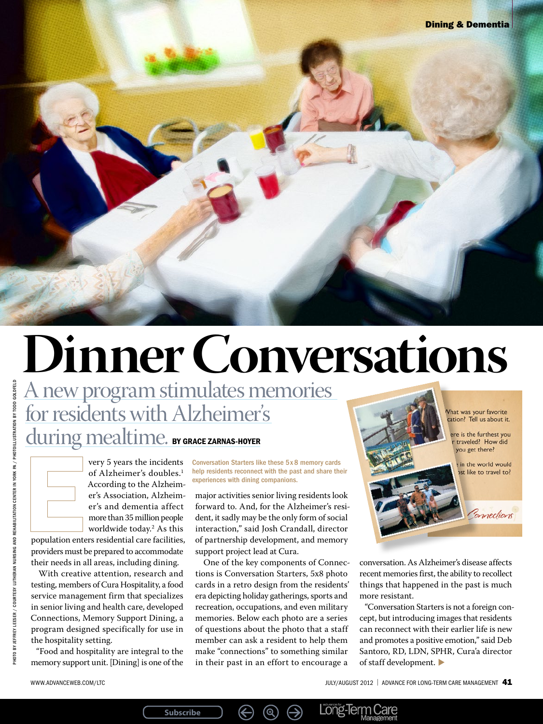# **Dinner Conversations**

A new program stimulates memories for residents with Alzheimer's

**Subscribe**

during mealtime. BY GRACE ZARNAS-HOYER

very 5 years the incidents of Alzheimer's doubles.<sup>1</sup> According to the Alzheimer's Association, Alzheimer's and dementia affect more than 35 million people worldwide today.2 As this

population enters residential care facilities, providers must be prepared to accommodate their needs in all areas, including dining.

With creative attention, research and testing, members of Cura Hospitality, a food service management firm that specializes in senior living and health care, developed Connections, Memory Support Dining, a program designed specifically for use in the hospitality setting.

"Food and hospitality are integral to the memory support unit. [Dining] is one of the Conversation Starters like these 5 x 8 memory cards help residents reconnect with the past and share their experiences with dining companions.

major activities senior living residents look forward to. And, for the Alzheimer's resident, it sadly may be the only form of social interaction," said Josh Crandall, director of partnership development, and memory support project lead at Cura.

One of the key components of Connections is Conversation Starters, 5x8 photo cards in a retro design from the residents' era depicting holiday gatherings, sports and recreation, occupations, and even military memories. Below each photo are a series of questions about the photo that a staff member can ask a resident to help them make "connections" to something similar in their past in an effort to encourage a

 $\circledR$ 

 $\leftrightarrow$ 

 $\bigoplus$ 

Vhat was your favorite cation? Tell us about it. ere is the furthest you r traveled? How did you get there? in the world would st like to travel to? Connections

conversation. As Alzheimer's disease affects recent memories first, the ability to recollect things that happened in the past is much more resistant.

"Conversation Starters is not a foreign concept, but introducing images that residents can reconnect with their earlier life is new and promotes a positive emotion," said Deb Santoro, RD, LDN, SPHR, Cura'a director of staff development.

Long-Term Care